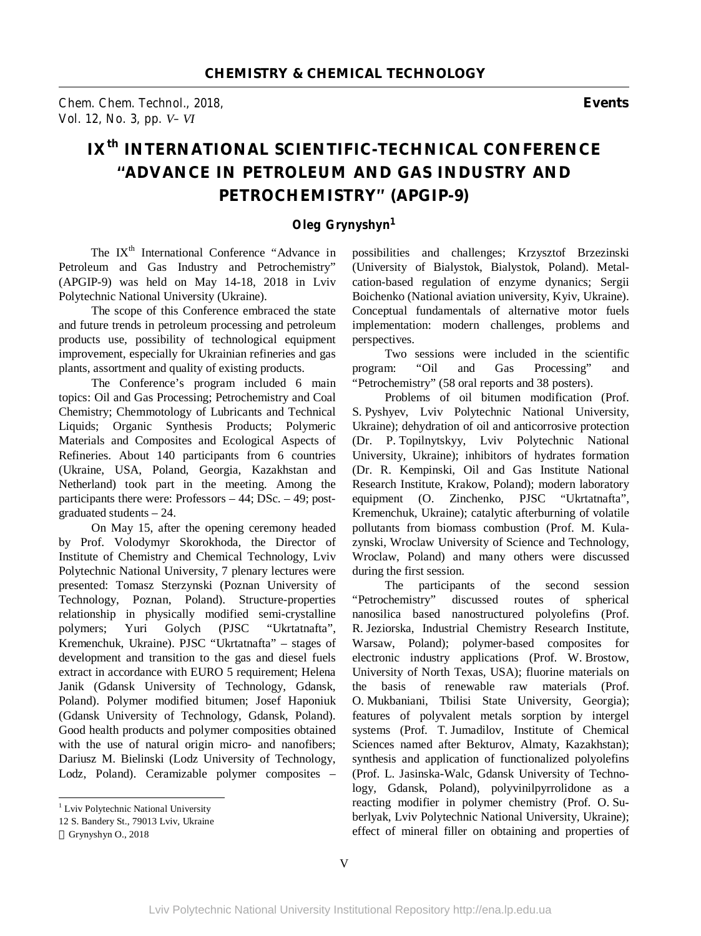*Chem. Chem. Technol., 2018,* **Events** *Vol. 12, No. 3, pp. V–VI* 

## **IXth INTERNATIONAL SCIENTIFIC-TECHNICAL CONFERENCE "ADVANCE IN PETROLEUM AND GAS INDUSTRY AND PETROCHEMISTRY" (APGIP-9)**

## *Oleg Grynyshyn<sup>1</sup>*

The IX<sup>th</sup> International Conference "Advance in Petroleum and Gas Industry and Petrochemistry" (APGIP-9) was held on May 14-18, 2018 in Lviv Polytechnic National University (Ukraine).

The scope of this Conference embraced the state and future trends in petroleum processing and petroleum products use, possibility of technological equipment improvement, especially for Ukrainian refineries and gas plants, assortment and quality of existing products.

The Conference's program included 6 main topics: Oil and Gas Processing; Petrochemistry and Coal Chemistry; Chemmotology of Lubricants and Technical Liquids; Organic Synthesis Products; Polymeric Materials and Composites and Ecological Aspects of Refineries. About 140 participants from 6 countries (Ukraine, USA, Poland, Georgia, Kazakhstan and Netherland) took part in the meeting. Among the participants there were: Professors – 44; DSc. – 49; postgraduated students – 24.

On May 15, after the opening ceremony headed by Prof. Volodymyr Skorokhoda, the Director of Institute of Chemistry and Chemical Technology, Lviv Polytechnic National University, 7 plenary lectures were presented: Tomasz Sterzynski (Poznan University of Technology, Poznan, Poland). Structure-properties relationship in physically modified semi-crystalline polymers; Yuri Golych (PJSC "Ukrtatnafta", Kremenchuk, Ukraine). PJSC "Ukrtatnafta" – stages of development and transition to the gas and diesel fuels extract in accordance with EURO 5 requirement; Helena Janik (Gdansk University of Technology, Gdansk, Poland). Polymer modified bitumen; Josef Haponiuk (Gdansk University of Technology, Gdansk, Poland). Good health products and polymer composities obtained with the use of natural origin micro- and nanofibers; Dariusz M. Bielinski (Lodz University of Technology, Lodz, Poland). Ceramizable polymer composites –

 $\overline{a}$ 

possibilities and challenges; Krzysztof Brzezinski (University of Bialystok, Bialystok, Poland). Metalcation-based regulation of enzyme dynanics; Sergii Boichenko (National aviation university, Kyiv, Ukraine). Conceptual fundamentals of alternative motor fuels implementation: modern challenges, problems and perspectives.

Two sessions were included in the scientific program: "Oil and Gas Processing" and "Petrochemistry" (58 oral reports and 38 posters).

Problems of oil bitumen modification (Prof. S. Pyshyev, Lviv Polytechnic National University, Ukraine); dehydration of oil and anticorrosive protection (Dr. P. Topilnytskyy, Lviv Polytechnic National University, Ukraine); inhibitors of hydrates formation (Dr. R. Kempinski, Oil and Gas Institute National Research Institute, Krakow, Poland); modern laboratory equipment (O. Zinchenko, PJSC "Ukrtatnafta", Kremenchuk, Ukraine); catalytic afterburning of volatile pollutants from biomass combustion (Prof. M. Kulazynski, Wroclaw University of Science and Technology, Wroclaw, Poland) and many others were discussed during the first session.

The participants of the second session "Petrochemistry" discussed routes of spherical nanosilica based nanostructured polyolefins (Prof. R. Jeziorska, Industrial Chemistry Research Institute, Warsaw, Poland); polymer-based composites for electronic industry applications (Prof. W. Brostow, University of North Texas, USA); fluorine materials on the basis of renewable raw materials (Prof. O. Mukbaniani, Tbilisi State University, Georgia); features of polyvalent metals sorption by intergel systems (Prof. T. Jumadilov, Institute of Chemical Sciences named after Bekturov, Almaty, Kazakhstan); synthesis and application of functionalized polyolefins (Prof. L. Jasinska-Walc, Gdansk University of Technology, Gdansk, Poland), polyvinilpyrrolidone as a reacting modifier in polymer chemistry (Prof. O. Suberlyak, Lviv Polytechnic National University, Ukraine); effect of mineral filler on obtaining and properties of

<sup>&</sup>lt;sup>1</sup> Lviv Polytechnic National University

<sup>12</sup> S. Bandery St., 79013 Lviv, Ukraine

Grynyshyn O., 2018